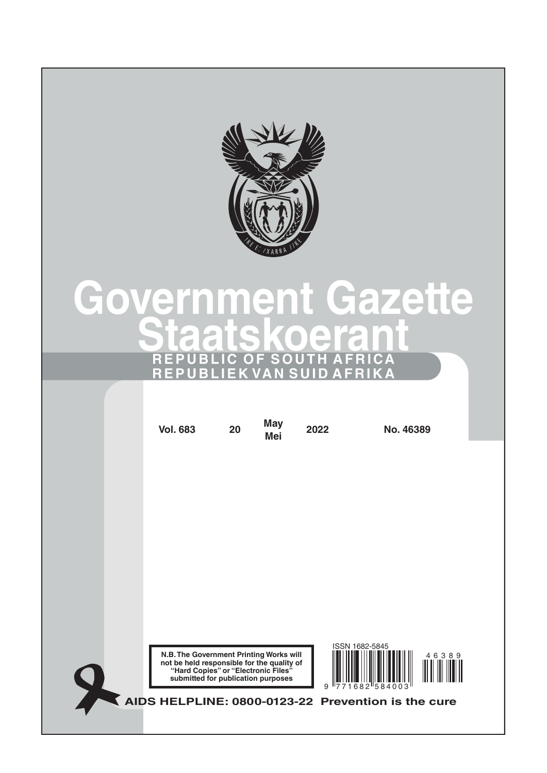

# **Government Gazette Staatskoeran REPUBLIC OF SOUTH AFRICA REPUBLIEK VAN SUID AFRIKA**

|  | <b>Vol. 683</b>                                                                                                                                                    | 20 | <b>May</b><br>Mei | 2022 | No. 46389                                          |       |  |
|--|--------------------------------------------------------------------------------------------------------------------------------------------------------------------|----|-------------------|------|----------------------------------------------------|-------|--|
|  |                                                                                                                                                                    |    |                   |      |                                                    |       |  |
|  |                                                                                                                                                                    |    |                   |      |                                                    |       |  |
|  |                                                                                                                                                                    |    |                   |      |                                                    |       |  |
|  |                                                                                                                                                                    |    |                   |      |                                                    |       |  |
|  |                                                                                                                                                                    |    |                   |      |                                                    |       |  |
|  |                                                                                                                                                                    |    |                   |      | ISSN 1682-5845                                     |       |  |
|  | N.B. The Government Printing Works will<br>not be held responsible for the quality of<br>"Hard Copies" or "Electronic Files"<br>submitted for publication purposes |    |                   | 9    | 682 5<br>84003                                     | 46389 |  |
|  |                                                                                                                                                                    |    |                   |      | AIDS HELPLINE: 0800-0123-22 Prevention is the cure |       |  |
|  |                                                                                                                                                                    |    |                   |      |                                                    |       |  |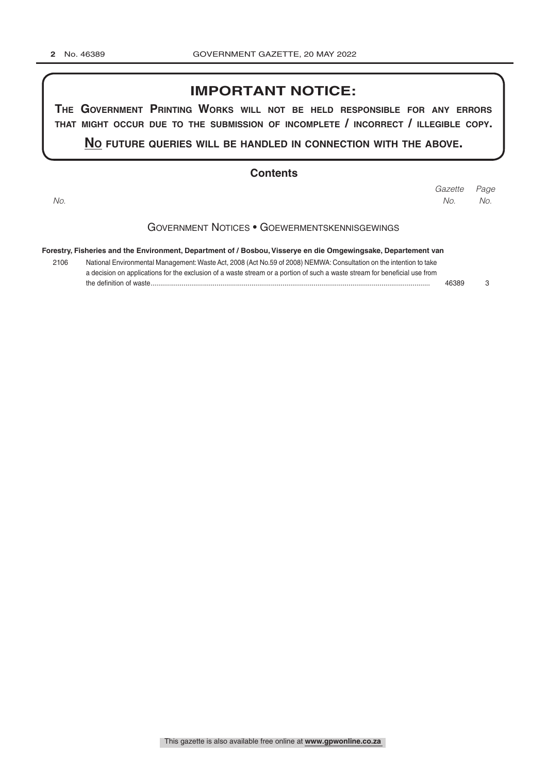## **IMPORTANT NOTICE:**

**The GovernmenT PrinTinG Works Will noT be held resPonsible for any errors ThaT miGhT occur due To The submission of incomPleTe / incorrecT / illeGible coPy.**

**no fuTure queries Will be handled in connecTion WiTh The above.**

#### **Contents**

*Page Gazette No. No. No.*

#### Government Notices • Goewermentskennisgewings

**Forestry, Fisheries and the Environment, Department of / Bosbou, Visserye en die Omgewingsake, Departement van**

| 2106 | National Environmental Management: Waste Act, 2008 (Act No.59 of 2008) NEMWA: Consultation on the intention to take        |       |  |
|------|----------------------------------------------------------------------------------------------------------------------------|-------|--|
|      | a decision on applications for the exclusion of a waste stream or a portion of such a waste stream for beneficial use from |       |  |
|      |                                                                                                                            | 46389 |  |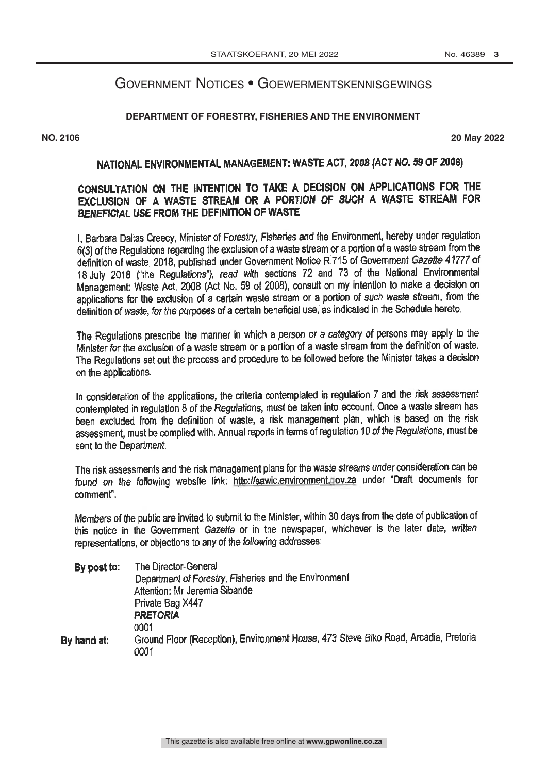### Government Notices • Goewermentskennisgewings

#### **DEPARTMENT OF FORESTRY, FISHERIES AND THE ENVIRONMENT**

**NO. 2106 20 May 2022**

#### NATIONAL ENVIRONMENTAL MANAGEMENT: WASTE ACT, 2008 (ACT NO. 59 OF 2008)

#### CONSULTATION ON THE INTENTION TO TAKE A DECISION ON APPLICATIONS FOR THE EXCLUSION OF A WASTE STREAM OR A PORTION OF SUCH A WASTE STREAM FOR BENEFICIAL USE FROM THE DEFINITION OF WASTE

I. Barbara Dallas Creecy, Minister of Forestry, Fisheries and the Environment, hereby under regulation 6(3) of the Regulations regarding the exclusion of a waste stream or a portion of a waste stream from the definition of waste, 2018, published under Government Notice R.715 of Government Gazette 41777 of 18 July 2018 ("the Regulations"), read with sections 72 and 73 of the National Environmental Management: Waste Act, 2008 (Act No. 59 of 2008), consult on my intention to make a decision on applications for the exclusion of a certain waste stream or a portion of such waste stream, from the definition of waste, for the purposes of a certain beneficial use, as indicated in the Schedule hereto.

The Regulations prescribe the manner in which a person or a category of persons may apply to the Minister for the exclusion of a waste stream or a portion of a waste stream from the definition of waste. The Regulations set out the process and procedure to be followed before the Minister takes a decision on the applications.

In consideration of the applications, the criteria contemplated in regulation 7 and the risk assessment contemplated in regulation 8 of the Regulations, must be taken into account. Once a waste stream has been excluded from the definition of waste, a risk management plan, which is based on the risk assessment, must be complied with. Annual reports in terms of regulation 10 of the Regulations, must be sent to the Department.

The risk assessments and the risk management plans for the waste streams under consideration can be found on the following website link: http://sawic.environment.gov.za under "Draft documents for comment".

Members of the public are invited to submit to the Minister, within 30 days from the date of publication of this notice in the Government Gazette or in the newspaper, whichever is the later date, written representations, or objections to any of the following addresses:

| By post to: | The Director-General                                                                        |
|-------------|---------------------------------------------------------------------------------------------|
|             | Department of Forestry, Fisheries and the Environment                                       |
|             | Attention: Mr Jeremia Sibande                                                               |
|             | Private Bag X447                                                                            |
|             | <b>PRETORIA</b>                                                                             |
|             | 0001                                                                                        |
| By hand at: | Ground Floor (Reception), Environment House, 473 Steve Biko Road, Arcadia, Pretoria<br>0001 |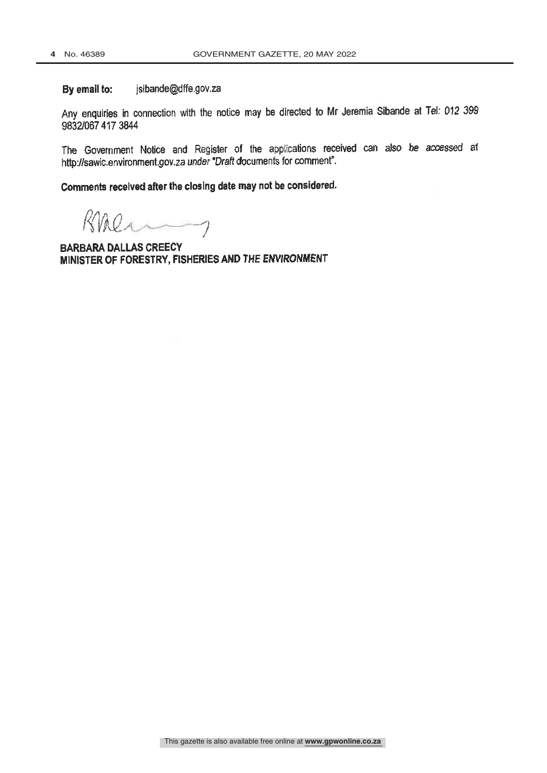#### By email to: jsibande@dffe.gov.za

Any enquiries in connection with the notice may be directed to Mr Jeremia Sibande at Tel: 012 399 9832/067 417 3844

The Government Notice and Register of the applications received can also be accessed at http://sawic.environment.gov.za under "Draft documents for comment".

Comments received after the closing date may not be considered.

Rhen

**BARBARA DALLAS CREECY** MINISTER OF FORESTRY, FISHERIES AND THE ENVIRONMENT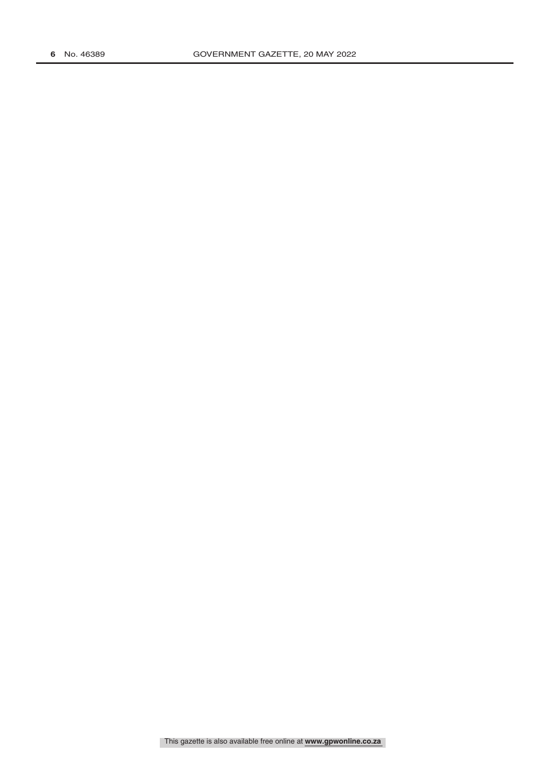This gazette is also available free online at **www.gpwonline.co.za**